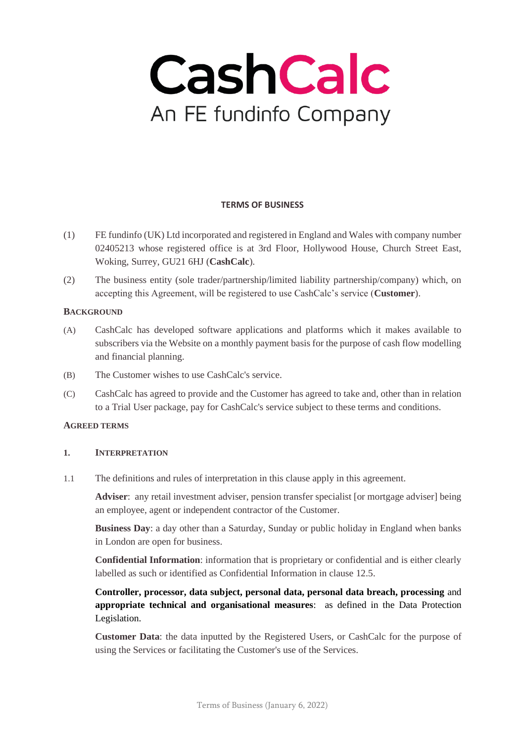

## **TERMS OF BUSINESS**

- (1) FE fundinfo (UK) Ltd incorporated and registered in England and Wales with company number 02405213 whose registered office is at 3rd Floor, Hollywood House, Church Street East, Woking, Surrey, GU21 6HJ (**CashCalc**).
- (2) The business entity (sole trader/partnership/limited liability partnership/company) which, on accepting this Agreement, will be registered to use CashCalc's service (**Customer**).

## **BACKGROUND**

- (A) CashCalc has developed software applications and platforms which it makes available to subscribers via the Website on a monthly payment basis for the purpose of cash flow modelling and financial planning.
- (B) The Customer wishes to use CashCalc's service.
- (C) CashCalc has agreed to provide and the Customer has agreed to take and, other than in relation to a Trial User package, pay for CashCalc's service subject to these terms and conditions.

# **AGREED TERMS**

#### **1. INTERPRETATION**

1.1 The definitions and rules of interpretation in this clause apply in this agreement.

**Adviser**: any retail investment adviser, pension transfer specialist [or mortgage adviser] being an employee, agent or independent contractor of the Customer.

**Business Day**: a day other than a Saturday, Sunday or public holiday in England when banks in London are open for business.

**Confidential Information**: information that is proprietary or confidential and is either clearly labelled as such or identified as Confidential Information in clause [12.5.](#page-10-0)

**Controller, processor, data subject, personal data, personal data breach, processing** and **appropriate technical and organisational measures**: as defined in the Data Protection Legislation.

**Customer Data**: the data inputted by the Registered Users, or CashCalc for the purpose of using the Services or facilitating the Customer's use of the Services.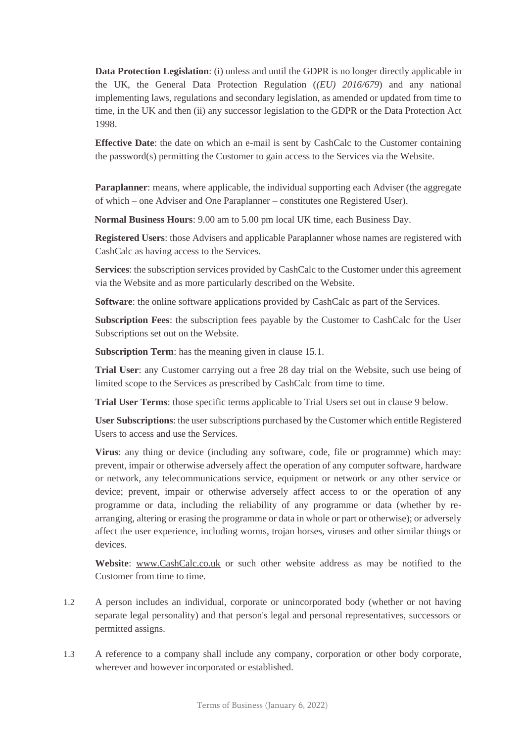**Data Protection Legislation**: (i) unless and until the GDPR is no longer directly applicable in the UK, the General Data Protection Regulation (*(EU) 2016/679*) and any national implementing laws, regulations and secondary legislation, as amended or updated from time to time, in the UK and then (ii) any successor legislation to the GDPR or the Data Protection Act 1998.

**Effective Date:** the date on which an e-mail is sent by CashCalc to the Customer containing the password(s) permitting the Customer to gain access to the Services via the Website.

**Paraplanner**: means, where applicable, the individual supporting each Adviser (the aggregate of which – one Adviser and One Paraplanner – constitutes one Registered User).

**Normal Business Hours**: 9.00 am to 5.00 pm local UK time, each Business Day.

**Registered Users**: those Advisers and applicable Paraplanner whose names are registered with CashCalc as having access to the Services.

**Services**: the subscription services provided by CashCalc to the Customer under this agreement via the Website and as more particularly described on the Website.

**Software**: the online software applications provided by CashCalc as part of the Services.

**Subscription Fees**: the subscription fees payable by the Customer to CashCalc for the User Subscriptions set out on the Website.

**Subscription Term**: has the meaning given in claus[e 15.1.](#page-12-0)

**Trial User**: any Customer carrying out a free 28 day trial on the Website, such use being of limited scope to the Services as prescribed by CashCalc from time to time.

**Trial User Terms**: those specific terms applicable to Trial Users set out in clause [9](#page-8-0) below.

**User Subscriptions**: the user subscriptions purchased by the Customer which entitle Registered Users to access and use the Services.

**Virus**: any thing or device (including any software, code, file or programme) which may: prevent, impair or otherwise adversely affect the operation of any computer software, hardware or network, any telecommunications service, equipment or network or any other service or device; prevent, impair or otherwise adversely affect access to or the operation of any programme or data, including the reliability of any programme or data (whether by rearranging, altering or erasing the programme or data in whole or part or otherwise); or adversely affect the user experience, including worms, trojan horses, viruses and other similar things or devices.

**Website**: [www.CashCalc.co.uk](http://www.cash-calc.co.uk/) or such other website address as may be notified to the Customer from time to time.

- 1.2 A person includes an individual, corporate or unincorporated body (whether or not having separate legal personality) and that person's legal and personal representatives, successors or permitted assigns.
- 1.3 A reference to a company shall include any company, corporation or other body corporate, wherever and however incorporated or established.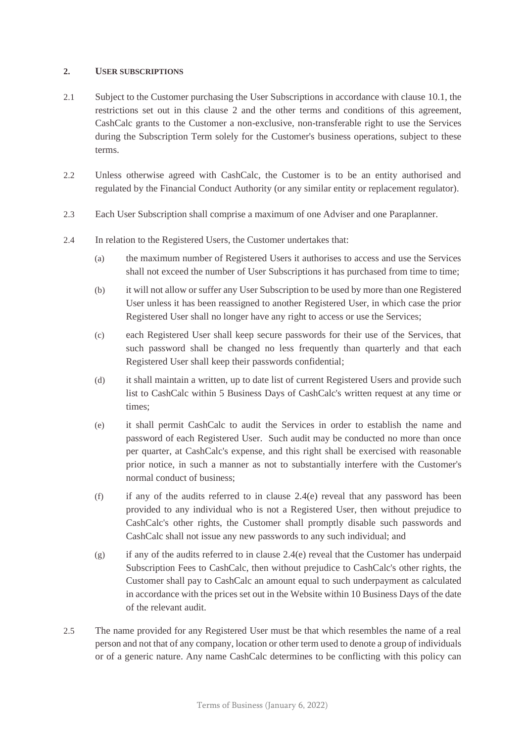## <span id="page-2-0"></span>**2. USER SUBSCRIPTIONS**

- 2.1 Subject to the Customer purchasing the User Subscriptions in accordance with clause [10.1,](#page-8-1) the restrictions set out in this clause [2](#page-2-0) and the other terms and conditions of this agreement, CashCalc grants to the Customer a non-exclusive, non-transferable right to use the Services during the Subscription Term solely for the Customer's business operations, subject to these terms.
- 2.2 Unless otherwise agreed with CashCalc, the Customer is to be an entity authorised and regulated by the Financial Conduct Authority (or any similar entity or replacement regulator).
- 2.3 Each User Subscription shall comprise a maximum of one Adviser and one Paraplanner.
- <span id="page-2-1"></span>2.4 In relation to the Registered Users, the Customer undertakes that:
	- (a) the maximum number of Registered Users it authorises to access and use the Services shall not exceed the number of User Subscriptions it has purchased from time to time;
	- (b) it will not allow or suffer any User Subscription to be used by more than one Registered User unless it has been reassigned to another Registered User, in which case the prior Registered User shall no longer have any right to access or use the Services;
	- (c) each Registered User shall keep secure passwords for their use of the Services, that such password shall be changed no less frequently than quarterly and that each Registered User shall keep their passwords confidential;
	- (d) it shall maintain a written, up to date list of current Registered Users and provide such list to CashCalc within 5 Business Days of CashCalc's written request at any time or times;
	- (e) it shall permit CashCalc to audit the Services in order to establish the name and password of each Registered User. Such audit may be conducted no more than once per quarter, at CashCalc's expense, and this right shall be exercised with reasonable prior notice, in such a manner as not to substantially interfere with the Customer's normal conduct of business;
	- (f) if any of the audits referred to in clause  $2.4(e)$  reveal that any password has been provided to any individual who is not a Registered User, then without prejudice to CashCalc's other rights, the Customer shall promptly disable such passwords and CashCalc shall not issue any new passwords to any such individual; and
	- $(g)$  if any of the audits referred to in clause [2.4\(e\)](#page-2-1) reveal that the Customer has underpaid Subscription Fees to CashCalc, then without prejudice to CashCalc's other rights, the Customer shall pay to CashCalc an amount equal to such underpayment as calculated in accordance with the prices set out in the Website within 10 Business Days of the date of the relevant audit.
- 2.5 The name provided for any Registered User must be that which resembles the name of a real person and not that of any company, location or other term used to denote a group of individuals or of a generic nature. Any name CashCalc determines to be conflicting with this policy can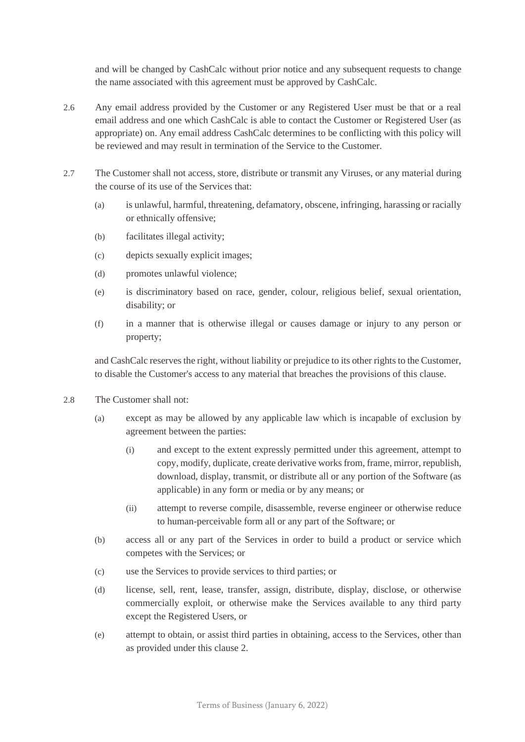and will be changed by CashCalc without prior notice and any subsequent requests to change the name associated with this agreement must be approved by CashCalc.

- 2.6 Any email address provided by the Customer or any Registered User must be that or a real email address and one which CashCalc is able to contact the Customer or Registered User (as appropriate) on. Any email address CashCalc determines to be conflicting with this policy will be reviewed and may result in termination of the Service to the Customer.
- 2.7 The Customer shall not access, store, distribute or transmit any Viruses, or any material during the course of its use of the Services that:
	- (a) is unlawful, harmful, threatening, defamatory, obscene, infringing, harassing or racially or ethnically offensive;
	- (b) facilitates illegal activity;
	- (c) depicts sexually explicit images;
	- (d) promotes unlawful violence;
	- (e) is discriminatory based on race, gender, colour, religious belief, sexual orientation, disability; or
	- (f) in a manner that is otherwise illegal or causes damage or injury to any person or property;

and CashCalc reserves the right, without liability or prejudice to its other rights to the Customer, to disable the Customer's access to any material that breaches the provisions of this clause.

- 2.8 The Customer shall not:
	- (a) except as may be allowed by any applicable law which is incapable of exclusion by agreement between the parties:
		- (i) and except to the extent expressly permitted under this agreement, attempt to copy, modify, duplicate, create derivative works from, frame, mirror, republish, download, display, transmit, or distribute all or any portion of the Software (as applicable) in any form or media or by any means; or
		- (ii) attempt to reverse compile, disassemble, reverse engineer or otherwise reduce to human-perceivable form all or any part of the Software; or
	- (b) access all or any part of the Services in order to build a product or service which competes with the Services; or
	- (c) use the Services to provide services to third parties; or
	- (d) license, sell, rent, lease, transfer, assign, distribute, display, disclose, or otherwise commercially exploit, or otherwise make the Services available to any third party except the Registered Users, or
	- (e) attempt to obtain, or assist third parties in obtaining, access to the Services, other than as provided under this clause [2.](#page-2-0)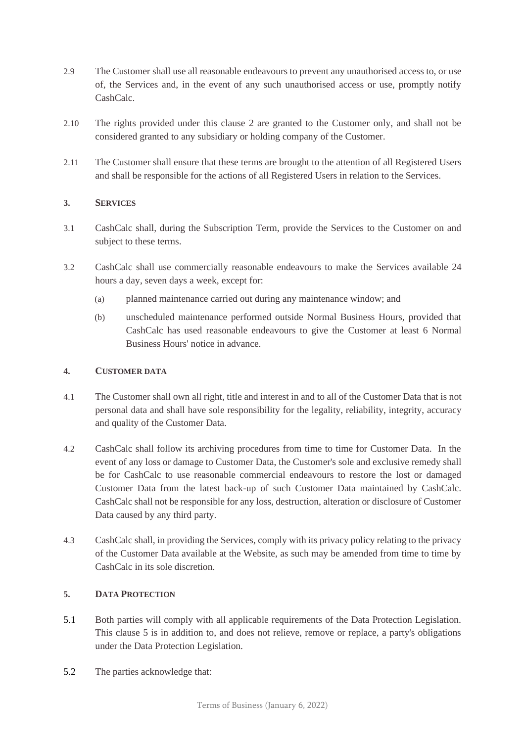- 2.9 The Customer shall use all reasonable endeavours to prevent any unauthorised access to, or use of, the Services and, in the event of any such unauthorised access or use, promptly notify CashCalc.
- 2.10 The rights provided under this clause [2](#page-2-0) are granted to the Customer only, and shall not be considered granted to any subsidiary or holding company of the Customer.
- 2.11 The Customer shall ensure that these terms are brought to the attention of all Registered Users and shall be responsible for the actions of all Registered Users in relation to the Services.

# **3. SERVICES**

- 3.1 CashCalc shall, during the Subscription Term, provide the Services to the Customer on and subject to these terms.
- 3.2 CashCalc shall use commercially reasonable endeavours to make the Services available 24 hours a day, seven days a week, except for:
	- (a) planned maintenance carried out during any maintenance window; and
	- (b) unscheduled maintenance performed outside Normal Business Hours, provided that CashCalc has used reasonable endeavours to give the Customer at least 6 Normal Business Hours' notice in advance.

## <span id="page-4-2"></span>**4. CUSTOMER DATA**

- 4.1 The Customer shall own all right, title and interest in and to all of the Customer Data that is not personal data and shall have sole responsibility for the legality, reliability, integrity, accuracy and quality of the Customer Data.
- 4.2 CashCalc shall follow its archiving procedures from time to time for Customer Data. In the event of any loss or damage to Customer Data, the Customer's sole and exclusive remedy shall be for CashCalc to use reasonable commercial endeavours to restore the lost or damaged Customer Data from the latest back-up of such Customer Data maintained by CashCalc. CashCalc shall not be responsible for any loss, destruction, alteration or disclosure of Customer Data caused by any third party.
- 4.3 CashCalc shall, in providing the Services, comply with its privacy policy relating to the privacy of the Customer Data available at the Website, as such may be amended from time to time by CashCalc in its sole discretion.

## <span id="page-4-1"></span><span id="page-4-0"></span>**5. DATA PROTECTION**

- 5.1 Both parties will comply with all applicable requirements of the Data Protection Legislation. This clause [5](#page-4-0) is in addition to, and does not relieve, remove or replace, a party's obligations under the Data Protection Legislation.
- 5.2 The parties acknowledge that: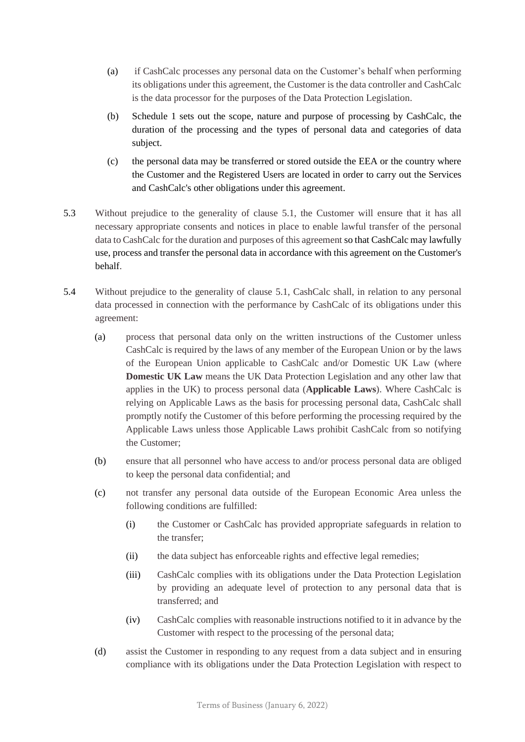- (a) if CashCalc processes any personal data on the Customer's behalf when performing its obligations under this agreement, the Customer is the data controller and CashCalc is the data processor for the purposes of the Data Protection Legislation.
- (b) Schedule 1 sets out the scope, nature and purpose of processing by CashCalc, the duration of the processing and the types of personal data and categories of data subject.
- (c) the personal data may be transferred or stored outside the EEA or the country where the Customer and the Registered Users are located in order to carry out the Services and CashCalc's other obligations under this agreement.
- 5.3 Without prejudice to the generality of clause [5.1,](#page-4-1) the Customer will ensure that it has all necessary appropriate consents and notices in place to enable lawful transfer of the personal data to CashCalc for the duration and purposes of this agreement so that CashCalc may lawfully use, process and transfer the personal data in accordance with this agreement on the Customer's behalf.
- <span id="page-5-0"></span>5.4 Without prejudice to the generality of clause [5.1,](#page-4-1) CashCalc shall, in relation to any personal data processed in connection with the performance by CashCalc of its obligations under this agreement:
	- (a) process that personal data only on the written instructions of the Customer unless CashCalc is required by the laws of any member of the European Union or by the laws of the European Union applicable to CashCalc and/or Domestic UK Law (where **Domestic UK Law** means the UK Data Protection Legislation and any other law that applies in the UK) to process personal data (**Applicable Laws**). Where CashCalc is relying on Applicable Laws as the basis for processing personal data, CashCalc shall promptly notify the Customer of this before performing the processing required by the Applicable Laws unless those Applicable Laws prohibit CashCalc from so notifying the Customer;
	- (b) ensure that all personnel who have access to and/or process personal data are obliged to keep the personal data confidential; and
	- (c) not transfer any personal data outside of the European Economic Area unless the following conditions are fulfilled:
		- (i) the Customer or CashCalc has provided appropriate safeguards in relation to the transfer;
		- (ii) the data subject has enforceable rights and effective legal remedies;
		- (iii) CashCalc complies with its obligations under the Data Protection Legislation by providing an adequate level of protection to any personal data that is transferred; and
		- (iv) CashCalc complies with reasonable instructions notified to it in advance by the Customer with respect to the processing of the personal data;
	- (d) assist the Customer in responding to any request from a data subject and in ensuring compliance with its obligations under the Data Protection Legislation with respect to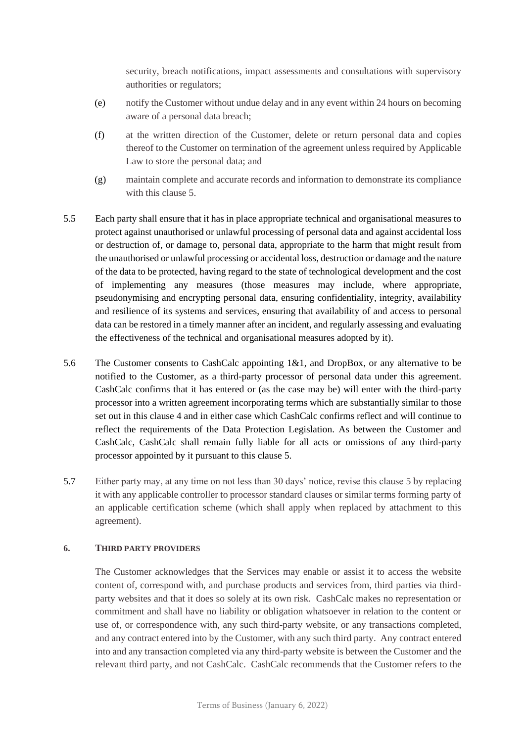security, breach notifications, impact assessments and consultations with supervisory authorities or regulators;

- (e) notify the Customer without undue delay and in any event within 24 hours on becoming aware of a personal data breach;
- (f) at the written direction of the Customer, delete or return personal data and copies thereof to the Customer on termination of the agreement unless required by Applicable Law to store the personal data; and
- (g) maintain complete and accurate records and information to demonstrate its compliance with this clause [5.](#page-4-0)
- 5.5 Each party shall ensure that it has in place appropriate technical and organisational measures to protect against unauthorised or unlawful processing of personal data and against accidental loss or destruction of, or damage to, personal data, appropriate to the harm that might result from the unauthorised or unlawful processing or accidental loss, destruction or damage and the nature of the data to be protected, having regard to the state of technological development and the cost of implementing any measures (those measures may include, where appropriate, pseudonymising and encrypting personal data, ensuring confidentiality, integrity, availability and resilience of its systems and services, ensuring that availability of and access to personal data can be restored in a timely manner after an incident, and regularly assessing and evaluating the effectiveness of the technical and organisational measures adopted by it).
- 5.6 The Customer consents to CashCalc appointing 1&1, and DropBox, or any alternative to be notified to the Customer, as a third-party processor of personal data under this agreement. CashCalc confirms that it has entered or (as the case may be) will enter with the third-party processor into a written agreement incorporating terms which are substantially similar to those set out in this clause [4](#page-4-2) and in either case which CashCalc confirms reflect and will continue to reflect the requirements of the Data Protection Legislation. As between the Customer and CashCalc, CashCalc shall remain fully liable for all acts or omissions of any third-party processor appointed by it pursuant to this clause [5.](#page-4-0)
- 5.7 Either party may, at any time on not less than 30 days' notice, revise this clause [5](#page-4-0) by replacing it with any applicable controller to processor standard clauses or similar terms forming party of an applicable certification scheme (which shall apply when replaced by attachment to this agreement).

#### **6. THIRD PARTY PROVIDERS**

The Customer acknowledges that the Services may enable or assist it to access the website content of, correspond with, and purchase products and services from, third parties via thirdparty websites and that it does so solely at its own risk. CashCalc makes no representation or commitment and shall have no liability or obligation whatsoever in relation to the content or use of, or correspondence with, any such third-party website, or any transactions completed, and any contract entered into by the Customer, with any such third party. Any contract entered into and any transaction completed via any third-party website is between the Customer and the relevant third party, and not CashCalc. CashCalc recommends that the Customer refers to the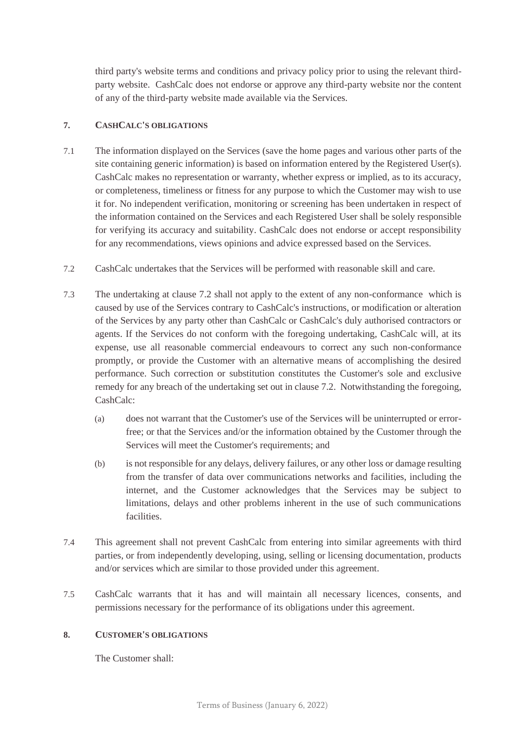third party's website terms and conditions and privacy policy prior to using the relevant thirdparty website. CashCalc does not endorse or approve any third-party website nor the content of any of the third-party website made available via the Services.

## **7. CASHCALC'S OBLIGATIONS**

- 7.1 The information displayed on the Services (save the home pages and various other parts of the site containing generic information) is based on information entered by the Registered User(s). CashCalc makes no representation or warranty, whether express or implied, as to its accuracy, or completeness, timeliness or fitness for any purpose to which the Customer may wish to use it for. No independent verification, monitoring or screening has been undertaken in respect of the information contained on the Services and each Registered User shall be solely responsible for verifying its accuracy and suitability. CashCalc does not endorse or accept responsibility for any recommendations, views opinions and advice expressed based on the Services.
- <span id="page-7-0"></span>7.2 CashCalc undertakes that the Services will be performed with reasonable skill and care.
- 7.3 The undertaking at clause [7.2](#page-7-0) shall not apply to the extent of any non-conformance which is caused by use of the Services contrary to CashCalc's instructions, or modification or alteration of the Services by any party other than CashCalc or CashCalc's duly authorised contractors or agents. If the Services do not conform with the foregoing undertaking, CashCalc will, at its expense, use all reasonable commercial endeavours to correct any such non-conformance promptly, or provide the Customer with an alternative means of accomplishing the desired performance. Such correction or substitution constitutes the Customer's sole and exclusive remedy for any breach of the undertaking set out in clause [7.2.](#page-7-0) Notwithstanding the foregoing, CashCalc:
	- (a) does not warrant that the Customer's use of the Services will be uninterrupted or errorfree; or that the Services and/or the information obtained by the Customer through the Services will meet the Customer's requirements; and
	- (b) is not responsible for any delays, delivery failures, or any other loss or damage resulting from the transfer of data over communications networks and facilities, including the internet, and the Customer acknowledges that the Services may be subject to limitations, delays and other problems inherent in the use of such communications facilities.
- 7.4 This agreement shall not prevent CashCalc from entering into similar agreements with third parties, or from independently developing, using, selling or licensing documentation, products and/or services which are similar to those provided under this agreement.
- 7.5 CashCalc warrants that it has and will maintain all necessary licences, consents, and permissions necessary for the performance of its obligations under this agreement.

#### **8. CUSTOMER'S OBLIGATIONS**

The Customer shall: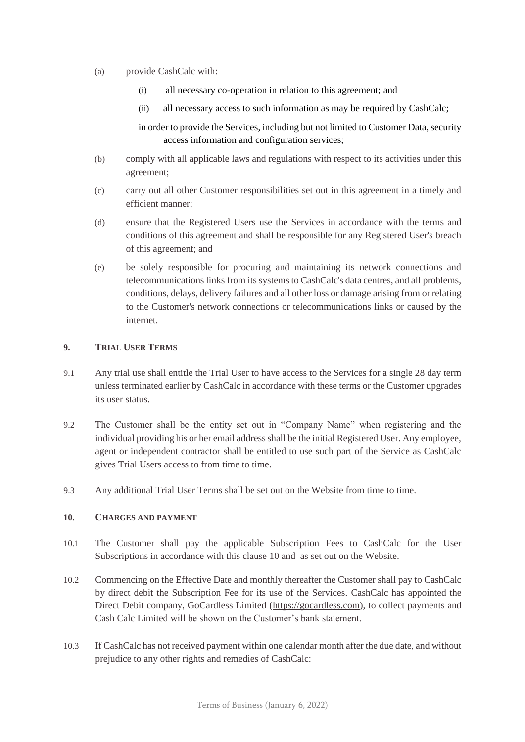- (a) provide CashCalc with:
	- (i) all necessary co-operation in relation to this agreement; and
	- (ii) all necessary access to such information as may be required by CashCalc;

in order to provide the Services, including but not limited to Customer Data, security access information and configuration services;

- (b) comply with all applicable laws and regulations with respect to its activities under this agreement;
- (c) carry out all other Customer responsibilities set out in this agreement in a timely and efficient manner;
- (d) ensure that the Registered Users use the Services in accordance with the terms and conditions of this agreement and shall be responsible for any Registered User's breach of this agreement; and
- (e) be solely responsible for procuring and maintaining its network connections and telecommunications links from its systems to CashCalc's data centres, and all problems, conditions, delays, delivery failures and all other loss or damage arising from or relating to the Customer's network connections or telecommunications links or caused by the internet.

## <span id="page-8-0"></span>**9. TRIAL USER TERMS**

- 9.1 Any trial use shall entitle the Trial User to have access to the Services for a single 28 day term unless terminated earlier by CashCalc in accordance with these terms or the Customer upgrades its user status.
- 9.2 The Customer shall be the entity set out in "Company Name" when registering and the individual providing his or her email address shall be the initial Registered User. Any employee, agent or independent contractor shall be entitled to use such part of the Service as CashCalc gives Trial Users access to from time to time.
- 9.3 Any additional Trial User Terms shall be set out on the Website from time to time.

# <span id="page-8-2"></span><span id="page-8-1"></span>**10. CHARGES AND PAYMENT**

- 10.1 The Customer shall pay the applicable Subscription Fees to CashCalc for the User Subscriptions in accordance with this clause [10](#page-8-2) and as set out on the Website.
- 10.2 Commencing on the Effective Date and monthly thereafter the Customer shall pay to CashCalc by direct debit the Subscription Fee for its use of the Services. CashCalc has appointed the Direct Debit company, GoCardless Limited [\(https://gocardless.com\)](https://gocardless.com/), to collect payments and Cash Calc Limited will be shown on the Customer's bank statement.
- 10.3 If CashCalc has not received payment within one calendar month after the due date, and without prejudice to any other rights and remedies of CashCalc: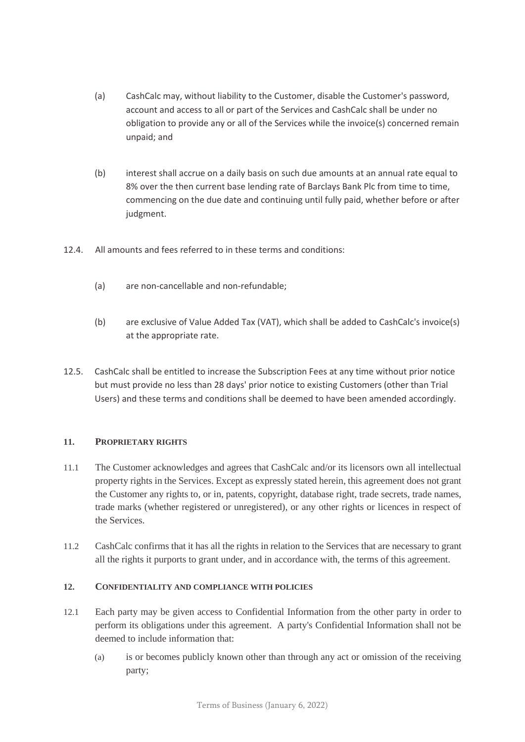- (a) CashCalc may, without liability to the Customer, disable the Customer's password, account and access to all or part of the Services and CashCalc shall be under no obligation to provide any or all of the Services while the invoice(s) concerned remain unpaid; and
- (b) interest shall accrue on a daily basis on such due amounts at an annual rate equal to 8% over the then current base lending rate of Barclays Bank Plc from time to time, commencing on the due date and continuing until fully paid, whether before or after judgment.
- 12.4. All amounts and fees referred to in these terms and conditions:
	- (a) are non-cancellable and non-refundable;
	- (b) are exclusive of Value Added Tax (VAT), which shall be added to CashCalc's invoice(s) at the appropriate rate.
- 12.5. CashCalc shall be entitled to increase the Subscription Fees at any time without prior notice but must provide no less than 28 days' prior notice to existing Customers (other than Trial Users) and these terms and conditions shall be deemed to have been amended accordingly.

# **11. PROPRIETARY RIGHTS**

- 11.1 The Customer acknowledges and agrees that CashCalc and/or its licensors own all intellectual property rights in the Services. Except as expressly stated herein, this agreement does not grant the Customer any rights to, or in, patents, copyright, database right, trade secrets, trade names, trade marks (whether registered or unregistered), or any other rights or licences in respect of the Services.
- 11.2 CashCalc confirms that it has all the rights in relation to the Services that are necessary to grant all the rights it purports to grant under, and in accordance with, the terms of this agreement.

# <span id="page-9-0"></span>**12. CONFIDENTIALITY AND COMPLIANCE WITH POLICIES**

- 12.1 Each party may be given access to Confidential Information from the other party in order to perform its obligations under this agreement. A party's Confidential Information shall not be deemed to include information that:
	- (a) is or becomes publicly known other than through any act or omission of the receiving party;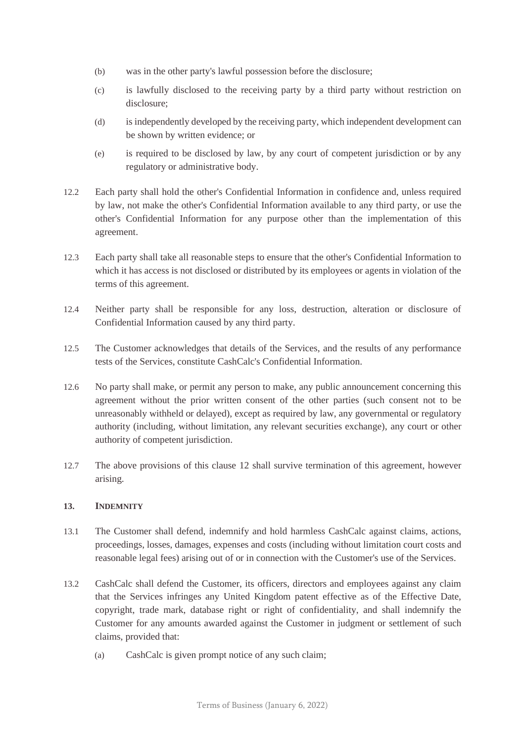- (b) was in the other party's lawful possession before the disclosure;
- (c) is lawfully disclosed to the receiving party by a third party without restriction on disclosure;
- (d) is independently developed by the receiving party, which independent development can be shown by written evidence; or
- (e) is required to be disclosed by law, by any court of competent jurisdiction or by any regulatory or administrative body.
- 12.2 Each party shall hold the other's Confidential Information in confidence and, unless required by law, not make the other's Confidential Information available to any third party, or use the other's Confidential Information for any purpose other than the implementation of this agreement.
- 12.3 Each party shall take all reasonable steps to ensure that the other's Confidential Information to which it has access is not disclosed or distributed by its employees or agents in violation of the terms of this agreement.
- 12.4 Neither party shall be responsible for any loss, destruction, alteration or disclosure of Confidential Information caused by any third party.
- <span id="page-10-0"></span>12.5 The Customer acknowledges that details of the Services, and the results of any performance tests of the Services, constitute CashCalc's Confidential Information.
- 12.6 No party shall make, or permit any person to make, any public announcement concerning this agreement without the prior written consent of the other parties (such consent not to be unreasonably withheld or delayed), except as required by law, any governmental or regulatory authority (including, without limitation, any relevant securities exchange), any court or other authority of competent jurisdiction.
- 12.7 The above provisions of this clause [12](#page-9-0) shall survive termination of this agreement, however arising.

## **13. INDEMNITY**

- 13.1 The Customer shall defend, indemnify and hold harmless CashCalc against claims, actions, proceedings, losses, damages, expenses and costs (including without limitation court costs and reasonable legal fees) arising out of or in connection with the Customer's use of the Services.
- <span id="page-10-1"></span>13.2 CashCalc shall defend the Customer, its officers, directors and employees against any claim that the Services infringes any United Kingdom patent effective as of the Effective Date, copyright, trade mark, database right or right of confidentiality, and shall indemnify the Customer for any amounts awarded against the Customer in judgment or settlement of such claims, provided that:
	- (a) CashCalc is given prompt notice of any such claim;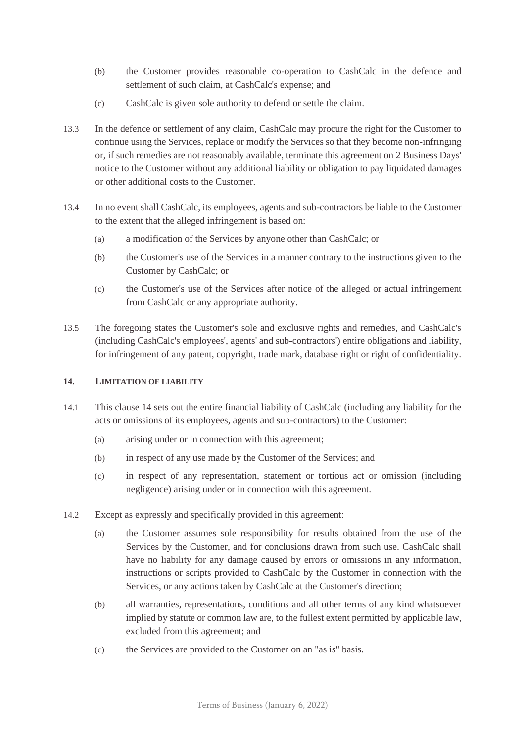- (b) the Customer provides reasonable co-operation to CashCalc in the defence and settlement of such claim, at CashCalc's expense; and
- (c) CashCalc is given sole authority to defend or settle the claim.
- 13.3 In the defence or settlement of any claim, CashCalc may procure the right for the Customer to continue using the Services, replace or modify the Services so that they become non-infringing or, if such remedies are not reasonably available, terminate this agreement on 2 Business Days' notice to the Customer without any additional liability or obligation to pay liquidated damages or other additional costs to the Customer.
- 13.4 In no event shall CashCalc, its employees, agents and sub-contractors be liable to the Customer to the extent that the alleged infringement is based on:
	- (a) a modification of the Services by anyone other than CashCalc; or
	- (b) the Customer's use of the Services in a manner contrary to the instructions given to the Customer by CashCalc; or
	- (c) the Customer's use of the Services after notice of the alleged or actual infringement from CashCalc or any appropriate authority.
- 13.5 The foregoing states the Customer's sole and exclusive rights and remedies, and CashCalc's (including CashCalc's employees', agents' and sub-contractors') entire obligations and liability, for infringement of any patent, copyright, trade mark, database right or right of confidentiality.

# <span id="page-11-0"></span>**14. LIMITATION OF LIABILITY**

- 14.1 This clause [14](#page-11-0) sets out the entire financial liability of CashCalc (including any liability for the acts or omissions of its employees, agents and sub-contractors) to the Customer:
	- (a) arising under or in connection with this agreement;
	- (b) in respect of any use made by the Customer of the Services; and
	- (c) in respect of any representation, statement or tortious act or omission (including negligence) arising under or in connection with this agreement.
- <span id="page-11-1"></span>14.2 Except as expressly and specifically provided in this agreement:
	- (a) the Customer assumes sole responsibility for results obtained from the use of the Services by the Customer, and for conclusions drawn from such use. CashCalc shall have no liability for any damage caused by errors or omissions in any information, instructions or scripts provided to CashCalc by the Customer in connection with the Services, or any actions taken by CashCalc at the Customer's direction;
	- (b) all warranties, representations, conditions and all other terms of any kind whatsoever implied by statute or common law are, to the fullest extent permitted by applicable law, excluded from this agreement; and
	- (c) the Services are provided to the Customer on an "as is" basis.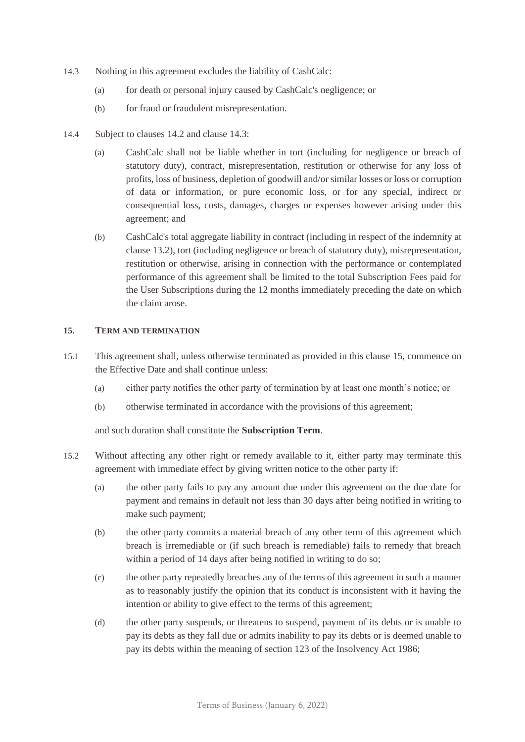- <span id="page-12-1"></span>14.3 Nothing in this agreement excludes the liability of CashCalc:
	- (a) for death or personal injury caused by CashCalc's negligence; or
	- (b) for fraud or fraudulent misrepresentation.
- 14.4 Subject to clauses [14.2](#page-11-1) and clause [14.3:](#page-12-1)
	- (a) CashCalc shall not be liable whether in tort (including for negligence or breach of statutory duty), contract, misrepresentation, restitution or otherwise for any loss of profits, loss of business, depletion of goodwill and/or similar losses or loss or corruption of data or information, or pure economic loss, or for any special, indirect or consequential loss, costs, damages, charges or expenses however arising under this agreement; and
	- (b) CashCalc's total aggregate liability in contract (including in respect of the indemnity at clause [13.2\)](#page-10-1), tort (including negligence or breach of statutory duty), misrepresentation, restitution or otherwise, arising in connection with the performance or contemplated performance of this agreement shall be limited to the total Subscription Fees paid for the User Subscriptions during the 12 months immediately preceding the date on which the claim arose.

#### <span id="page-12-2"></span><span id="page-12-0"></span>**15. TERM AND TERMINATION**

- 15.1 This agreement shall, unless otherwise terminated as provided in this clause [15,](#page-12-2) commence on the Effective Date and shall continue unless:
	- (a) either party notifies the other party of termination by at least one month's notice; or
	- (b) otherwise terminated in accordance with the provisions of this agreement;

and such duration shall constitute the **Subscription Term**.

- <span id="page-12-3"></span>15.2 Without affecting any other right or remedy available to it, either party may terminate this agreement with immediate effect by giving written notice to the other party if:
	- (a) the other party fails to pay any amount due under this agreement on the due date for payment and remains in default not less than 30 days after being notified in writing to make such payment;
	- (b) the other party commits a material breach of any other term of this agreement which breach is irremediable or (if such breach is remediable) fails to remedy that breach within a period of 14 days after being notified in writing to do so;
	- (c) the other party repeatedly breaches any of the terms of this agreement in such a manner as to reasonably justify the opinion that its conduct is inconsistent with it having the intention or ability to give effect to the terms of this agreement;
	- (d) the other party suspends, or threatens to suspend, payment of its debts or is unable to pay its debts as they fall due or admits inability to pay its debts or is deemed unable to pay its debts within the meaning of section 123 of the Insolvency Act 1986;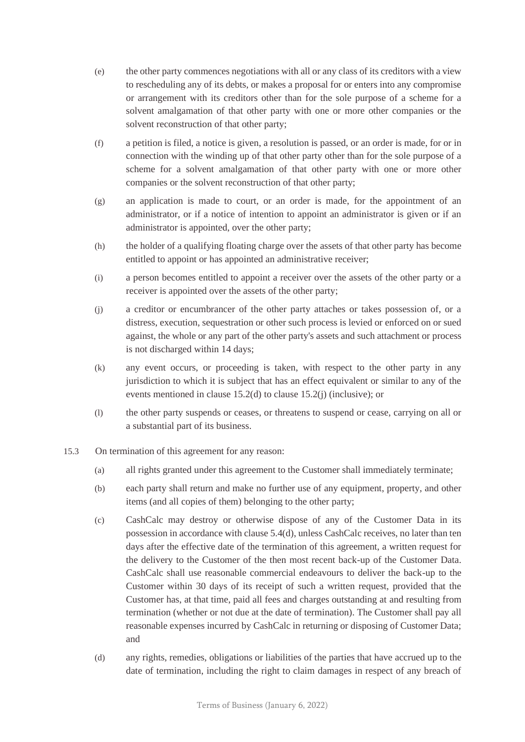- (e) the other party commences negotiations with all or any class of its creditors with a view to rescheduling any of its debts, or makes a proposal for or enters into any compromise or arrangement with its creditors other than for the sole purpose of a scheme for a solvent amalgamation of that other party with one or more other companies or the solvent reconstruction of that other party;
- (f) a petition is filed, a notice is given, a resolution is passed, or an order is made, for or in connection with the winding up of that other party other than for the sole purpose of a scheme for a solvent amalgamation of that other party with one or more other companies or the solvent reconstruction of that other party;
- (g) an application is made to court, or an order is made, for the appointment of an administrator, or if a notice of intention to appoint an administrator is given or if an administrator is appointed, over the other party;
- (h) the holder of a qualifying floating charge over the assets of that other party has become entitled to appoint or has appointed an administrative receiver;
- (i) a person becomes entitled to appoint a receiver over the assets of the other party or a receiver is appointed over the assets of the other party;
- <span id="page-13-0"></span>(j) a creditor or encumbrancer of the other party attaches or takes possession of, or a distress, execution, sequestration or other such process is levied or enforced on or sued against, the whole or any part of the other party's assets and such attachment or process is not discharged within 14 days;
- (k) any event occurs, or proceeding is taken, with respect to the other party in any jurisdiction to which it is subject that has an effect equivalent or similar to any of the events mentioned in clause [15.2\(d\)](#page-12-3) to clause [15.2\(j\)](#page-13-0) (inclusive); or
- (l) the other party suspends or ceases, or threatens to suspend or cease, carrying on all or a substantial part of its business.
- 15.3 On termination of this agreement for any reason:
	- (a) all rights granted under this agreement to the Customer shall immediately terminate;
	- (b) each party shall return and make no further use of any equipment, property, and other items (and all copies of them) belonging to the other party;
	- (c) CashCalc may destroy or otherwise dispose of any of the Customer Data in its possession in accordance with claus[e 5.4\(d\),](#page-5-0) unless CashCalc receives, no later than ten days after the effective date of the termination of this agreement, a written request for the delivery to the Customer of the then most recent back-up of the Customer Data. CashCalc shall use reasonable commercial endeavours to deliver the back-up to the Customer within 30 days of its receipt of such a written request, provided that the Customer has, at that time, paid all fees and charges outstanding at and resulting from termination (whether or not due at the date of termination). The Customer shall pay all reasonable expenses incurred by CashCalc in returning or disposing of Customer Data; and
	- (d) any rights, remedies, obligations or liabilities of the parties that have accrued up to the date of termination, including the right to claim damages in respect of any breach of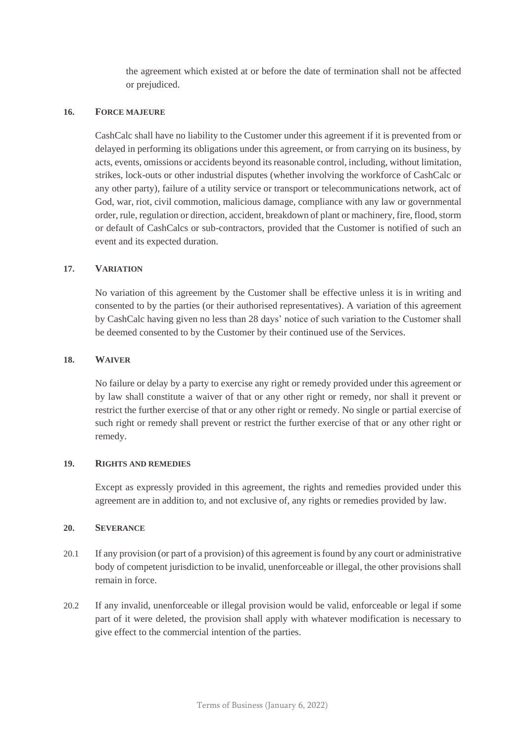the agreement which existed at or before the date of termination shall not be affected or prejudiced.

#### **16. FORCE MAJEURE**

CashCalc shall have no liability to the Customer under this agreement if it is prevented from or delayed in performing its obligations under this agreement, or from carrying on its business, by acts, events, omissions or accidents beyond its reasonable control, including, without limitation, strikes, lock-outs or other industrial disputes (whether involving the workforce of CashCalc or any other party), failure of a utility service or transport or telecommunications network, act of God, war, riot, civil commotion, malicious damage, compliance with any law or governmental order, rule, regulation or direction, accident, breakdown of plant or machinery, fire, flood, storm or default of CashCalcs or sub-contractors, provided that the Customer is notified of such an event and its expected duration.

#### **17. VARIATION**

No variation of this agreement by the Customer shall be effective unless it is in writing and consented to by the parties (or their authorised representatives). A variation of this agreement by CashCalc having given no less than 28 days' notice of such variation to the Customer shall be deemed consented to by the Customer by their continued use of the Services.

#### **18. WAIVER**

No failure or delay by a party to exercise any right or remedy provided under this agreement or by law shall constitute a waiver of that or any other right or remedy, nor shall it prevent or restrict the further exercise of that or any other right or remedy. No single or partial exercise of such right or remedy shall prevent or restrict the further exercise of that or any other right or remedy.

#### **19. RIGHTS AND REMEDIES**

Except as expressly provided in this agreement, the rights and remedies provided under this agreement are in addition to, and not exclusive of, any rights or remedies provided by law.

#### **20. SEVERANCE**

- 20.1 If any provision (or part of a provision) of this agreement is found by any court or administrative body of competent jurisdiction to be invalid, unenforceable or illegal, the other provisions shall remain in force.
- 20.2 If any invalid, unenforceable or illegal provision would be valid, enforceable or legal if some part of it were deleted, the provision shall apply with whatever modification is necessary to give effect to the commercial intention of the parties.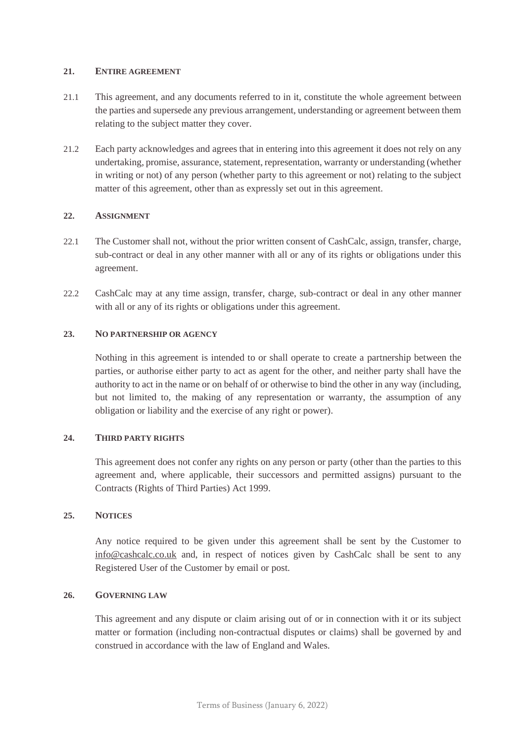#### **21. ENTIRE AGREEMENT**

- 21.1 This agreement, and any documents referred to in it, constitute the whole agreement between the parties and supersede any previous arrangement, understanding or agreement between them relating to the subject matter they cover.
- 21.2 Each party acknowledges and agrees that in entering into this agreement it does not rely on any undertaking, promise, assurance, statement, representation, warranty or understanding (whether in writing or not) of any person (whether party to this agreement or not) relating to the subject matter of this agreement, other than as expressly set out in this agreement.

#### **22. ASSIGNMENT**

- 22.1 The Customer shall not, without the prior written consent of CashCalc, assign, transfer, charge, sub-contract or deal in any other manner with all or any of its rights or obligations under this agreement.
- 22.2 CashCalc may at any time assign, transfer, charge, sub-contract or deal in any other manner with all or any of its rights or obligations under this agreement.

#### **23. NO PARTNERSHIP OR AGENCY**

Nothing in this agreement is intended to or shall operate to create a partnership between the parties, or authorise either party to act as agent for the other, and neither party shall have the authority to act in the name or on behalf of or otherwise to bind the other in any way (including, but not limited to, the making of any representation or warranty, the assumption of any obligation or liability and the exercise of any right or power).

#### **24. THIRD PARTY RIGHTS**

This agreement does not confer any rights on any person or party (other than the parties to this agreement and, where applicable, their successors and permitted assigns) pursuant to the Contracts (Rights of Third Parties) Act 1999.

#### **25. NOTICES**

Any notice required to be given under this agreement shall be sent by the Customer to [info@cashcalc.co.uk](mailto:info@cashcalc.co.uk) and, in respect of notices given by CashCalc shall be sent to any Registered User of the Customer by email or post.

## **26. GOVERNING LAW**

This agreement and any dispute or claim arising out of or in connection with it or its subject matter or formation (including non-contractual disputes or claims) shall be governed by and construed in accordance with the law of England and Wales.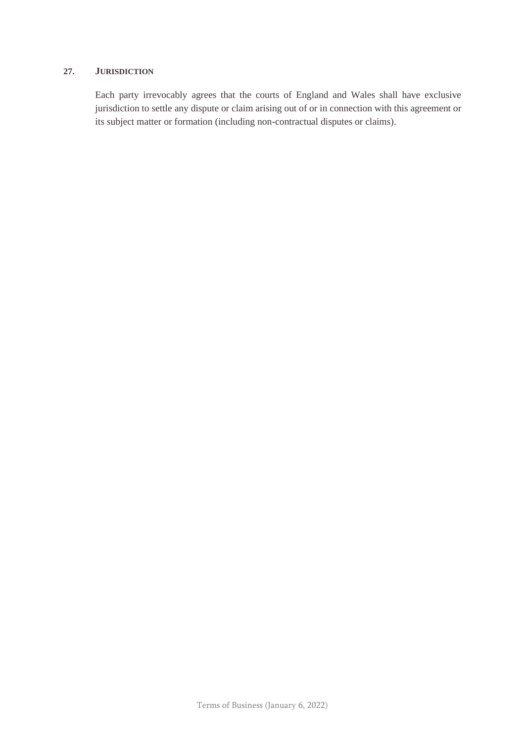#### **27. JURISDICTION**

Each party irrevocably agrees that the courts of England and Wales shall have exclusive jurisdiction to settle any dispute or claim arising out of or in connection with this agreement or its subject matter or formation (including non-contractual disputes or claims).